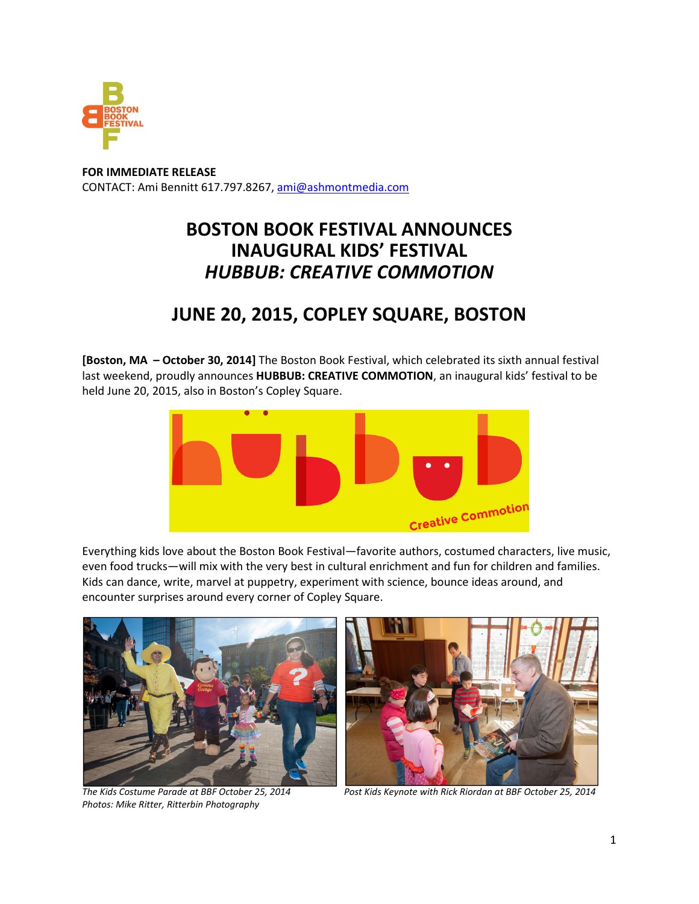

**FOR IMMEDIATE RELEASE** CONTACT: Ami Bennitt 617.797.8267, ami@ashmontmedia.com

## **BOSTON BOOK FESTIVAL ANNOUNCES INAUGURAL KIDS' FESTIVAL**  *HUBBUB: CREATIVE COMMOTION*

## **JUNE 20, 2015, COPLEY SQUARE, BOSTON**

**[Boston, MA – October 30, 2014]** The Boston Book Festival, which celebrated its sixth annual festival last weekend, proudly announces **HUBBUB: CREATIVE COMMOTION**, an inaugural kids' festival to be held June 20, 2015, also in Boston's Copley Square.



Everything kids love about the Boston Book Festival—favorite authors, costumed characters, live music, even food trucks—will mix with the very best in cultural enrichment and fun for children and families. Kids can dance, write, marvel at puppetry, experiment with science, bounce ideas around, and encounter surprises around every corner of Copley Square.



*Photos: Mike Ritter, Ritterbin Photography* 



*The Kids Costume Parade at BBF October 25, 2014 Post Kids Keynote with Rick Riordan at BBF October 25, 2014*